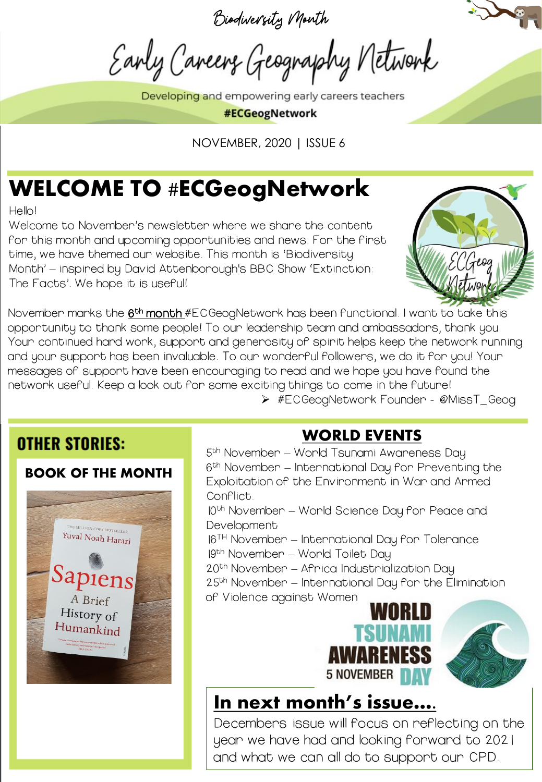Biodiversity Month

Early Careers Geography Network

Developing and empowering early careers teachers



NOVEMBER, 2020 | ISSUE 6

## WELCOME TO #ECGeogNetwork

Hello!

Welcome to November's newsletter where we share the content for this month and upcoming opportunities and news. For the first time, we have themed our website. This month is 'Biodiversity Month' – inspired by David Attenborough's BBC Show 'Extinction: The Facts'. We hope it is useful!



November marks the  $\underline{6^{th}}$  month #ECGeogNetwork has been functional. I want to take this opportunity to thank some people! To our leadership team and ambassadors, thank you. Your continued hard work, support and generosity of spirit helps keep the network running and your support has been invaluable. To our wonderful followers, we do it for you! Your messages of support have been encouraging to read and we hope you have found the network useful. Keep a look out for some exciting things to come in the future!

➢ #ECGeogNetwork Founder - @MissT\_Geog

#### **OTHER STORIES:**

#### BOOK OF THE MONTH



#### WORLD EVENTS

5<sup>th</sup> November – World Tsunami Awareness Day 6 th November – International Day for Preventing the Exploitation of the Environment in War and Armed Conflict.

10th November – World Science Day for Peace and **Development** 

- $16<sup>TH</sup>$  November International Day for Tolerance
- 19th November World Toilet Day
- 20th November Africa Industrialization Day

25th November – International Day for the Elimination of Violence against Women



#### In next month's issue….

Decembers issue will focus on reflecting on the year we have had and looking forward to 2021 and what we can all do to support our CPD.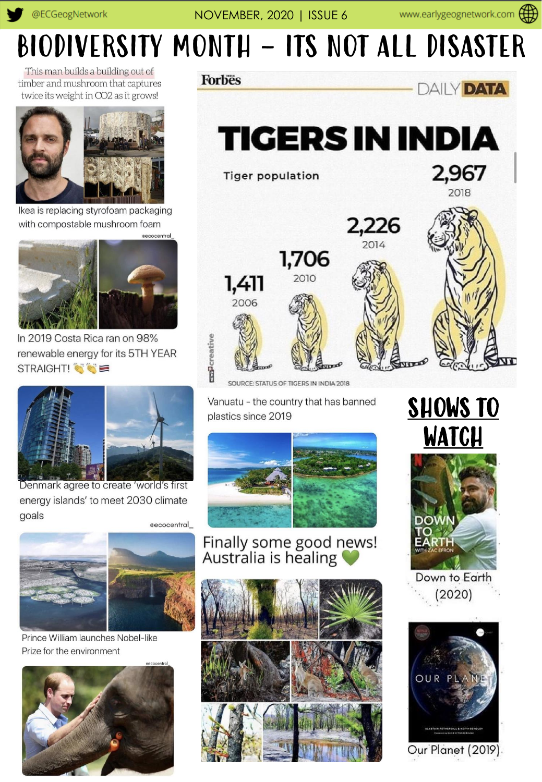## **BIODIVERSITY MONTH - ITS NOT ALL DISASTER**

This man builds a building out of timber and mushroom that captures twice its weight in CO2 as it grows!



Ikea is replacing styrofoam packaging with compostable mushroom foam



In 2019 Costa Rica ran on 98% renewable energy for its 5TH YEAR STRAIGHT!



Denmark agree to create 'world's first energy islands' to meet 2030 climate goals





Prince William launches Nobel-like Prize for the environment



**Forbes** 



**TIGERS IN INDIA** 

**Tiger population** 





SOURCE: STATUS OF TIGERS IN INDIA 2018

Vanuatu - the country that has banned plastics since 2019



Finally some good news!<br>Australia is healing







Down to Earth  $(2020)$ 



Our Planet (2019).